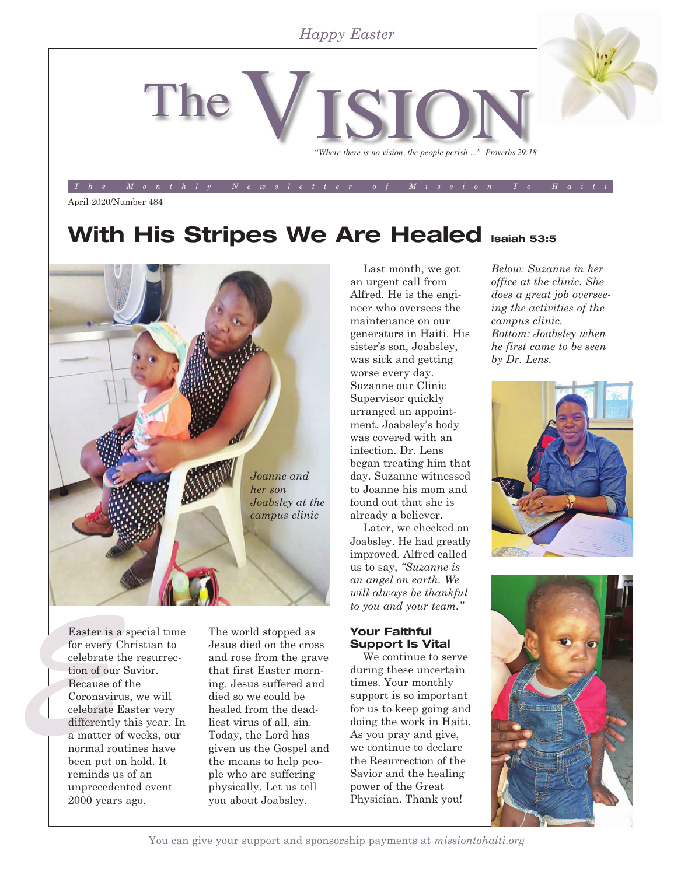### *Happy Easter*



*The Monthly Newsletter of Mission To Haiti*

April 2020/Number 484

# **With His Stripes We Are Healed Isaiah 53:5**



Easter is a<br>for every C<br>celebrate the<br>tion of our is<br>Because of<br>Coronaviru<br>celebrate E<br>differently Easter is a special time for every Christian to celebrate the resurrection of our Savior. Because of the Coronavirus, we will celebrate Easter very differently this year. In a matter of weeks, our normal routines have been put on hold. It reminds us of an unprecedented event 2000 years ago.

The world stopped as Jesus died on the cross and rose from the grave that first Easter morning. Jesus suffered and died so we could be healed from the deadliest virus of all, sin. Today, the Lord has given us the Gospel and the means to help people who are suffering physically. Let us tell you about Joabsley.

Last month, we got an urgent call from Alfred. He is the engineer who oversees the maintenance on our generators in Haiti. His sister's son, Joabsley, was sick and getting worse every day. Suzanne our Clinic Supervisor quickly arranged an appointment. Joabsley's body was covered with an infection. Dr. Lens began treating him that day. Suzanne witnessed to Joanne his mom and found out that she is already a believer.

Later, we checked on Joabsley. He had greatly improved. Alfred called us to say, *"Suzanne is an angel on earth. We will always be thankful to you and your team."*

#### **Your Faithful Support Is Vital**

We continue to serve during these uncertain times. Your monthly support is so important for us to keep going and doing the work in Haiti. As you pray and give, we continue to declare the Resurrection of the Savior and the healing power of the Great Physician. Thank you!

*Below: Suzanne in her office at the clinic. She does a great job overseeing the activities of the campus clinic. Bottom: Joabsley when he first came to be seen by Dr. Lens.*